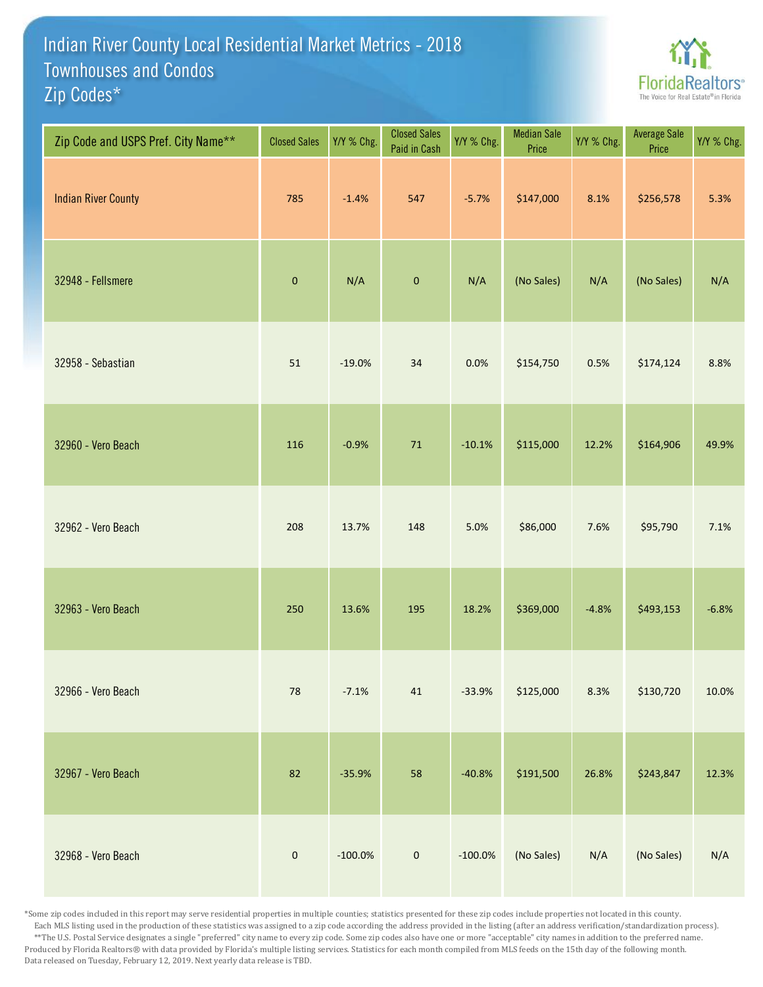## Indian River County Local Residential Market Metrics - 2018 Zip Codes\* Townhouses and Condos



| Zip Code and USPS Pref. City Name** | <b>Closed Sales</b> | Y/Y % Chg. | <b>Closed Sales</b><br>Paid in Cash | Y/Y % Chg. | <b>Median Sale</b><br>Price | Y/Y % Chg. | Average Sale<br>Price | Y/Y % Chg. |
|-------------------------------------|---------------------|------------|-------------------------------------|------------|-----------------------------|------------|-----------------------|------------|
| <b>Indian River County</b>          | 785                 | $-1.4%$    | 547                                 | $-5.7%$    | \$147,000                   | 8.1%       | \$256,578             | 5.3%       |
| 32948 - Fellsmere                   | $\pmb{0}$           | N/A        | $\pmb{0}$                           | N/A        | (No Sales)                  | N/A        | (No Sales)            | N/A        |
| 32958 - Sebastian                   | 51                  | $-19.0%$   | 34                                  | 0.0%       | \$154,750                   | 0.5%       | \$174,124             | 8.8%       |
| 32960 - Vero Beach                  | 116                 | $-0.9%$    | ${\bf 71}$                          | $-10.1%$   | \$115,000                   | 12.2%      | \$164,906             | 49.9%      |
| 32962 - Vero Beach                  | 208                 | 13.7%      | 148                                 | 5.0%       | \$86,000                    | 7.6%       | \$95,790              | 7.1%       |
| 32963 - Vero Beach                  | 250                 | 13.6%      | 195                                 | 18.2%      | \$369,000                   | $-4.8%$    | \$493,153             | $-6.8%$    |
| 32966 - Vero Beach                  | ${\bf 78}$          | $-7.1%$    | $41\,$                              | $-33.9%$   | \$125,000                   | 8.3%       | \$130,720             | 10.0%      |
| 32967 - Vero Beach                  | 82                  | $-35.9%$   | 58                                  | $-40.8%$   | \$191,500                   | 26.8%      | \$243,847             | 12.3%      |
| 32968 - Vero Beach                  | $\pmb{0}$           | $-100.0\%$ | $\mathbf 0$                         | $-100.0\%$ | (No Sales)                  | N/A        | (No Sales)            | N/A        |

\*Some zip codes included in this report may serve residential properties in multiple counties; statistics presented for these zip codes include properties not located in this county. Each MLS listing used in the production of these statistics was assigned to a zip code according the address provided in the listing (after an address verification/standardization process). \*\*The U.S. Postal Service designates a single "preferred" city name to every zip code. Some zip codes also have one or more "acceptable" city names in addition to the preferred name. Produced by Florida Realtors® with data provided by Florida's multiple listing services. Statistics for each month compiled from MLS feeds on the 15th day of the following month. Data released on Tuesday, February 12, 2019. Next yearly data release is TBD.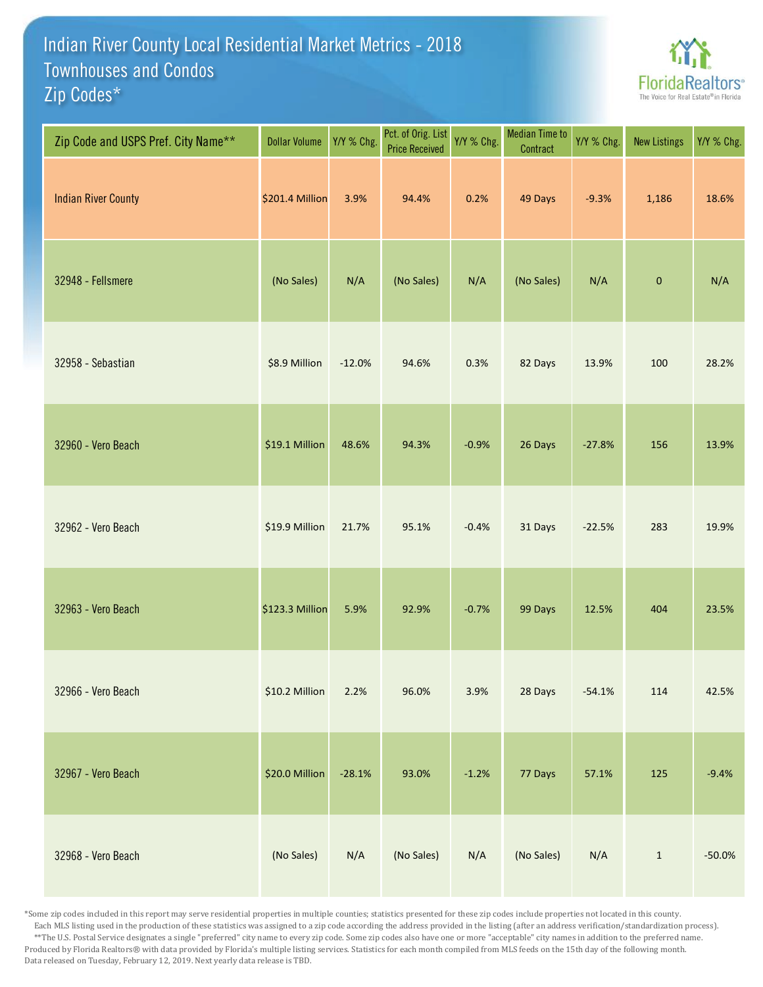## Indian River County Local Residential Market Metrics - 2018 Zip Codes\* Townhouses and Condos



| Zip Code and USPS Pref. City Name** | <b>Dollar Volume</b> | Y/Y % Chg. | Pct. of Orig. List<br><b>Price Received</b> | Y/Y % Chg. | <b>Median Time to</b><br>Contract | Y/Y % Chg. | <b>New Listings</b> | Y/Y % Chg. |
|-------------------------------------|----------------------|------------|---------------------------------------------|------------|-----------------------------------|------------|---------------------|------------|
| <b>Indian River County</b>          | \$201.4 Million      | 3.9%       | 94.4%                                       | 0.2%       | 49 Days                           | $-9.3%$    | 1,186               | 18.6%      |
| 32948 - Fellsmere                   | (No Sales)           | N/A        | (No Sales)                                  | N/A        | (No Sales)                        | N/A        | $\mathbf 0$         | N/A        |
| 32958 - Sebastian                   | \$8.9 Million        | $-12.0%$   | 94.6%                                       | 0.3%       | 82 Days                           | 13.9%      | 100                 | 28.2%      |
| 32960 - Vero Beach                  | \$19.1 Million       | 48.6%      | 94.3%                                       | $-0.9%$    | 26 Days                           | $-27.8%$   | 156                 | 13.9%      |
| 32962 - Vero Beach                  | \$19.9 Million       | 21.7%      | 95.1%                                       | $-0.4%$    | 31 Days                           | $-22.5%$   | 283                 | 19.9%      |
| 32963 - Vero Beach                  | \$123.3 Million      | 5.9%       | 92.9%                                       | $-0.7%$    | 99 Days                           | 12.5%      | 404                 | 23.5%      |
| 32966 - Vero Beach                  | \$10.2 Million       | 2.2%       | 96.0%                                       | 3.9%       | 28 Days                           | $-54.1%$   | 114                 | 42.5%      |
| 32967 - Vero Beach                  | \$20.0 Million       | $-28.1%$   | 93.0%                                       | $-1.2%$    | 77 Days                           | 57.1%      | 125                 | $-9.4%$    |
| 32968 - Vero Beach                  | (No Sales)           | N/A        | (No Sales)                                  | N/A        | (No Sales)                        | N/A        | $\mathbf 1$         | $-50.0%$   |

\*Some zip codes included in this report may serve residential properties in multiple counties; statistics presented for these zip codes include properties not located in this county. Each MLS listing used in the production of these statistics was assigned to a zip code according the address provided in the listing (after an address verification/standardization process). \*\*The U.S. Postal Service designates a single "preferred" city name to every zip code. Some zip codes also have one or more "acceptable" city names in addition to the preferred name. Produced by Florida Realtors® with data provided by Florida's multiple listing services. Statistics for each month compiled from MLS feeds on the 15th day of the following month. Data released on Tuesday, February 12, 2019. Next yearly data release is TBD.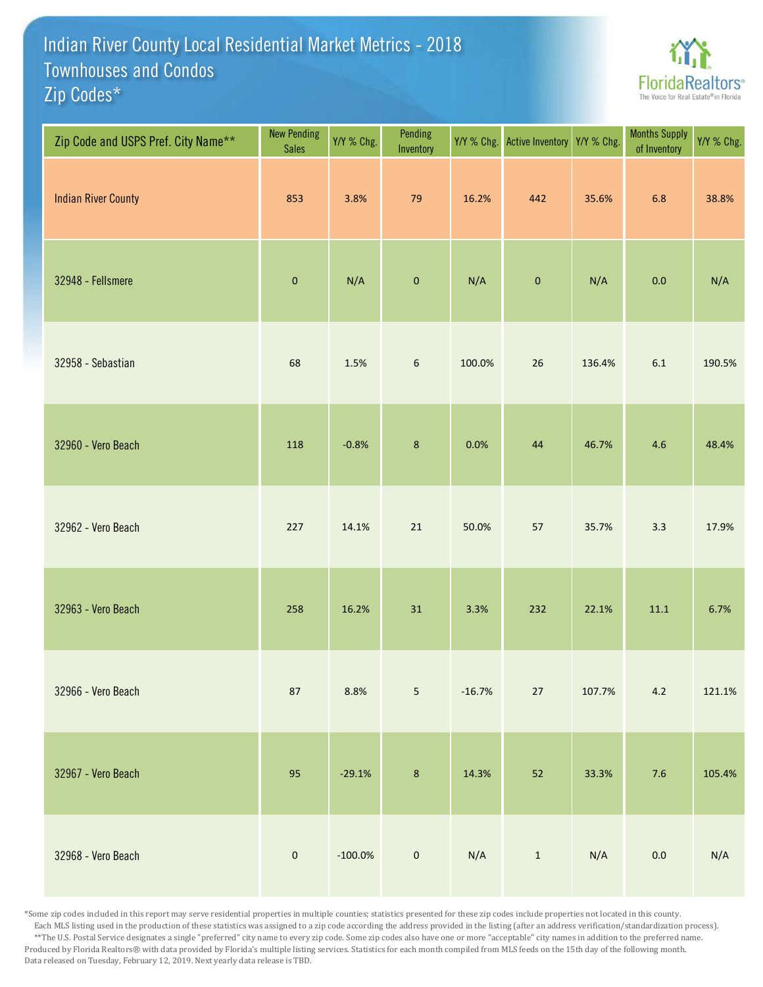## Indian River County Local Residential Market Metrics - 2018 Zip Codes\* Townhouses and Condos



| Zip Code and USPS Pref. City Name** | <b>New Pending</b><br><b>Sales</b> | Y/Y % Chg. | Pending<br>Inventory | Y/Y % Chg. | Active Inventory | Y/Y % Chg. | <b>Months Supply</b><br>of Inventory | Y/Y % Chg. |
|-------------------------------------|------------------------------------|------------|----------------------|------------|------------------|------------|--------------------------------------|------------|
| <b>Indian River County</b>          | 853                                | 3.8%       | 79                   | 16.2%      | 442              | 35.6%      | 6.8                                  | 38.8%      |
| 32948 - Fellsmere                   | $\pmb{0}$                          | N/A        | $\pmb{0}$            | N/A        | $\pmb{0}$        | N/A        | $0.0\,$                              | N/A        |
| 32958 - Sebastian                   | 68                                 | 1.5%       | $\boldsymbol{6}$     | 100.0%     | 26               | 136.4%     | $6.1\,$                              | 190.5%     |
| 32960 - Vero Beach                  | 118                                | $-0.8%$    | $\bf 8$              | 0.0%       | 44               | 46.7%      | 4.6                                  | 48.4%      |
| 32962 - Vero Beach                  | 227                                | 14.1%      | 21                   | 50.0%      | 57               | 35.7%      | 3.3                                  | 17.9%      |
| 32963 - Vero Beach                  | 258                                | 16.2%      | 31                   | 3.3%       | 232              | 22.1%      | $11.1\,$                             | 6.7%       |
| 32966 - Vero Beach                  | 87                                 | 8.8%       | 5                    | $-16.7%$   | $27\,$           | 107.7%     | $4.2\,$                              | 121.1%     |
| 32967 - Vero Beach                  | 95                                 | $-29.1%$   | $\bf 8$              | 14.3%      | 52               | 33.3%      | $7.6$                                | 105.4%     |
| 32968 - Vero Beach                  | $\pmb{0}$                          | $-100.0\%$ | $\mathbf 0$          | N/A        | $\,1\,$          | N/A        | $0.0\,$                              | N/A        |

\*Some zip codes included in this report may serve residential properties in multiple counties; statistics presented for these zip codes include properties not located in this county. Each MLS listing used in the production of these statistics was assigned to a zip code according the address provided in the listing (after an address verification/standardization process). \*\*The U.S. Postal Service designates a single "preferred" city name to every zip code. Some zip codes also have one or more "acceptable" city names in addition to the preferred name. Produced by Florida Realtors® with data provided by Florida's multiple listing services. Statistics for each month compiled from MLS feeds on the 15th day of the following month. Data released on Tuesday, February 12, 2019. Next yearly data release is TBD.